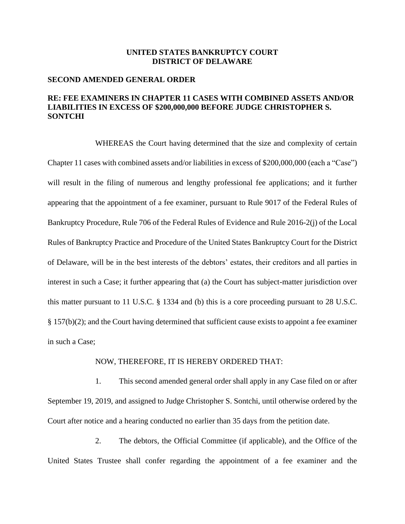## **UNITED STATES BANKRUPTCY COURT DISTRICT OF DELAWARE**

## **SECOND AMENDED GENERAL ORDER**

## **RE: FEE EXAMINERS IN CHAPTER 11 CASES WITH COMBINED ASSETS AND/OR LIABILITIES IN EXCESS OF \$200,000,000 BEFORE JUDGE CHRISTOPHER S. SONTCHI**

WHEREAS the Court having determined that the size and complexity of certain Chapter 11 cases with combined assets and/or liabilities in excess of \$200,000,000 (each a "Case") will result in the filing of numerous and lengthy professional fee applications; and it further appearing that the appointment of a fee examiner, pursuant to Rule 9017 of the Federal Rules of Bankruptcy Procedure, Rule 706 of the Federal Rules of Evidence and Rule 2016-2(j) of the Local Rules of Bankruptcy Practice and Procedure of the United States Bankruptcy Court for the District of Delaware, will be in the best interests of the debtors' estates, their creditors and all parties in interest in such a Case; it further appearing that (a) the Court has subject-matter jurisdiction over this matter pursuant to 11 U.S.C. § 1334 and (b) this is a core proceeding pursuant to 28 U.S.C. § 157(b)(2); and the Court having determined that sufficient cause exists to appoint a fee examiner in such a Case;

## NOW, THEREFORE, IT IS HEREBY ORDERED THAT:

1. This second amended general order shall apply in any Case filed on or after September 19, 2019, and assigned to Judge Christopher S. Sontchi, until otherwise ordered by the Court after notice and a hearing conducted no earlier than 35 days from the petition date.

2. The debtors, the Official Committee (if applicable), and the Office of the United States Trustee shall confer regarding the appointment of a fee examiner and the